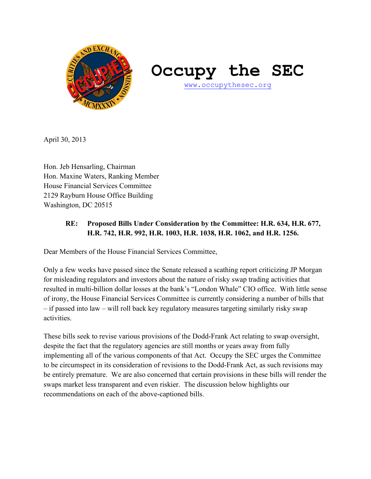

# **Occupy the SEC**

www.occupythesec.org

April 30, 2013

Hon. Jeb Hensarling, Chairman Hon. Maxine Waters, Ranking Member House Financial Services Committee 2129 Rayburn House Office Building Washington, DC 20515

# **RE: Proposed Bills Under Consideration by the Committee: H.R. 634, H.R. 677, H.R. 742, H.R. 992, H.R. 1003, H.R. 1038, H.R. 1062, and H.R. 1256.**

Dear Members of the House Financial Services Committee,

Only a few weeks have passed since the Senate released a scathing report criticizing JP Morgan for misleading regulators and investors about the nature of risky swap trading activities that resulted in multi-billion dollar losses at the bank's "London Whale" CIO office. With little sense of irony, the House Financial Services Committee is currently considering a number of bills that – if passed into law – will roll back key regulatory measures targeting similarly risky swap activities.

These bills seek to revise various provisions of the Dodd-Frank Act relating to swap oversight, despite the fact that the regulatory agencies are still months or years away from fully implementing all of the various components of that Act. Occupy the SEC urges the Committee to be circumspect in its consideration of revisions to the Dodd-Frank Act, as such revisions may be entirely premature. We are also concerned that certain provisions in these bills will render the swaps market less transparent and even riskier. The discussion below highlights our recommendations on each of the above-captioned bills.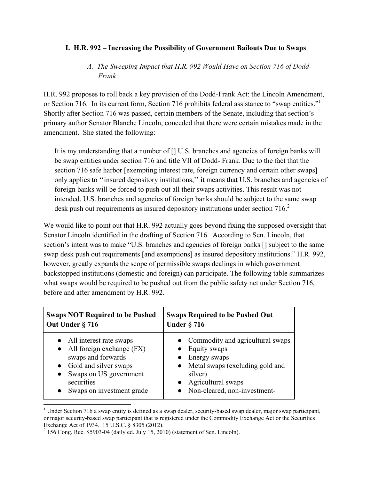#### **I. H.R. 992 – Increasing the Possibility of Government Bailouts Due to Swaps**

## *A. The Sweeping Impact that H.R. 992 Would Have on Section 716 of Dodd-Frank*

H.R. 992 proposes to roll back a key provision of the Dodd-Frank Act: the Lincoln Amendment, or Section 716. In its current form, Section 716 prohibits federal assistance to "swap entities."<sup>1</sup> Shortly after Section 716 was passed, certain members of the Senate, including that section's primary author Senator Blanche Lincoln, conceded that there were certain mistakes made in the amendment. She stated the following:

It is my understanding that a number of [] U.S. branches and agencies of foreign banks will be swap entities under section 716 and title VII of Dodd- Frank. Due to the fact that the section 716 safe harbor [exempting interest rate, foreign currency and certain other swaps] only applies to ''insured depository institutions,'' it means that U.S. branches and agencies of foreign banks will be forced to push out all their swaps activities. This result was not intended. U.S. branches and agencies of foreign banks should be subject to the same swap desk push out requirements as insured depository institutions under section 716.<sup>2</sup>

We would like to point out that H.R. 992 actually goes beyond fixing the supposed oversight that Senator Lincoln identified in the drafting of Section 716. According to Sen. Lincoln, that section's intent was to make "U.S. branches and agencies of foreign banks [] subject to the same swap desk push out requirements [and exemptions] as insured depository institutions." H.R. 992, however, greatly expands the scope of permissible swaps dealings in which government backstopped institutions (domestic and foreign) can participate. The following table summarizes what swaps would be required to be pushed out from the public safety net under Section 716, before and after amendment by H.R. 992.

| <b>Swaps NOT Required to be Pushed</b> | <b>Swaps Required to be Pushed Out</b> |  |
|----------------------------------------|----------------------------------------|--|
| Out Under § 716                        | <b>Under § 716</b>                     |  |
| • All interest rate swaps              | • Commodity and agricultural swaps     |  |
| $\bullet$ All foreign exchange (FX)    | $\bullet$ Equity swaps                 |  |
| swaps and forwards                     | $\bullet$ Energy swaps                 |  |
| • Gold and silver swaps                | • Metal swaps (excluding gold and      |  |
| Swaps on US government                 | silver)                                |  |
| securities                             | • Agricultural swaps                   |  |
| Swaps on investment grade              | • Non-cleared, non-investment-         |  |

<sup>&</sup>lt;sup>1</sup> Under Section 716 a swap entity is defined as a swap dealer, security-based swap dealer, major swap participant, or major security-based swap participant that is registered under the Commodity Exchange Act or the Securities Exchange Act of 1934. 15 U.S.C. § 8305 (2012).

 $2^{2}$  156 Cong. Rec. S5903-04 (daily ed. July 15, 2010) (statement of Sen. Lincoln).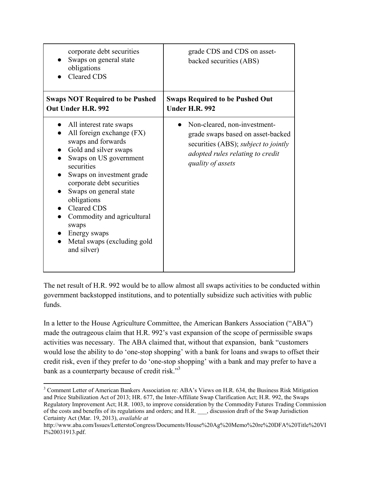| corporate debt securities<br>Swaps on general state<br>obligations<br><b>Cleared CDS</b>                                                                                                                                                                                                                                                                                  | grade CDS and CDS on asset-<br>backed securities (ABS)                                                                                                                    |
|---------------------------------------------------------------------------------------------------------------------------------------------------------------------------------------------------------------------------------------------------------------------------------------------------------------------------------------------------------------------------|---------------------------------------------------------------------------------------------------------------------------------------------------------------------------|
| <b>Swaps NOT Required to be Pushed</b><br>Out Under H.R. 992                                                                                                                                                                                                                                                                                                              | <b>Swaps Required to be Pushed Out</b><br><b>Under H.R. 992</b>                                                                                                           |
| All interest rate swaps<br>All foreign exchange (FX)<br>swaps and forwards<br>Gold and silver swaps<br>Swaps on US government<br>securities<br>Swaps on investment grade<br>corporate debt securities<br>Swaps on general state<br>obligations<br><b>Cleared CDS</b><br>Commodity and agricultural<br>swaps<br>Energy swaps<br>Metal swaps (excluding gold<br>and silver) | Non-cleared, non-investment-<br>grade swaps based on asset-backed<br>securities (ABS); <i>subject to jointly</i><br>adopted rules relating to credit<br>quality of assets |

The net result of H.R. 992 would be to allow almost all swaps activities to be conducted within government backstopped institutions, and to potentially subsidize such activities with public funds.

In a letter to the House Agriculture Committee, the American Bankers Association ("ABA") made the outrageous claim that H.R. 992's vast expansion of the scope of permissible swaps activities was necessary. The ABA claimed that, without that expansion, bank "customers would lose the ability to do 'one-stop shopping' with a bank for loans and swaps to offset their credit risk, even if they prefer to do 'one-stop shopping' with a bank and may prefer to have a bank as a counterparty because of credit risk."3

 $\overline{\phantom{a}}$ <sup>3</sup> Comment Letter of American Bankers Association re: ABA's Views on H.R. 634, the Business Risk Mitigation and Price Stabilization Act of 2013; HR. 677, the Inter-Affiliate Swap Clarification Act; H.R. 992, the Swaps Regulatory Improvement Act; H.R. 1003, to improve consideration by the Commodity Futures Trading Commission of the costs and benefits of its regulations and orders; and H.R. \_\_\_, discussion draft of the Swap Jurisdiction Certainty Act (Mar. 19, 2013), *available at*

http://www.aba.com/Issues/LetterstoCongress/Documents/House%20Ag%20Memo%20re%20DFA%20Title%20VI I%20031913.pdf.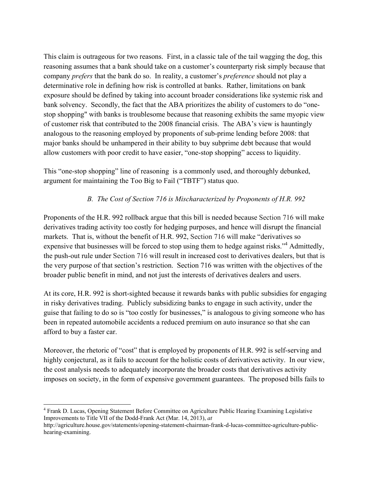This claim is outrageous for two reasons. First, in a classic tale of the tail wagging the dog, this reasoning assumes that a bank should take on a customer's counterparty risk simply because that company *prefers* that the bank do so. In reality, a customer's *preference* should not play a determinative role in defining how risk is controlled at banks. Rather, limitations on bank exposure should be defined by taking into account broader considerations like systemic risk and bank solvency. Secondly, the fact that the ABA prioritizes the ability of customers to do "onestop shopping" with banks is troublesome because that reasoning exhibits the same myopic view of customer risk that contributed to the 2008 financial crisis. The ABA's view is hauntingly analogous to the reasoning employed by proponents of sub-prime lending before 2008: that major banks should be unhampered in their ability to buy subprime debt because that would allow customers with poor credit to have easier, "one-stop shopping" access to liquidity.

This "one-stop shopping" line of reasoning is a commonly used, and thoroughly debunked, argument for maintaining the Too Big to Fail ("TBTF") status quo.

## *B. The Cost of Section 716 is Mischaracterized by Proponents of H.R. 992*

Proponents of the H.R. 992 rollback argue that this bill is needed because Section 716 will make derivatives trading activity too costly for hedging purposes, and hence will disrupt the financial markets. That is, without the benefit of H.R. 992, Section 716 will make "derivatives so expensive that businesses will be forced to stop using them to hedge against risks."<sup>4</sup> Admittedly, the push-out rule under Section 716 will result in increased cost to derivatives dealers, but that is the very purpose of that section's restriction. Section 716 was written with the objectives of the broader public benefit in mind, and not just the interests of derivatives dealers and users.

At its core, H.R. 992 is short-sighted because it rewards banks with public subsidies for engaging in risky derivatives trading. Publicly subsidizing banks to engage in such activity, under the guise that failing to do so is "too costly for businesses," is analogous to giving someone who has been in repeated automobile accidents a reduced premium on auto insurance so that she can afford to buy a faster car.

Moreover, the rhetoric of "cost" that is employed by proponents of H.R. 992 is self-serving and highly conjectural, as it fails to account for the holistic costs of derivatives activity. In our view, the cost analysis needs to adequately incorporate the broader costs that derivatives activity imposes on society, in the form of expensive government guarantees. The proposed bills fails to

 $\overline{\phantom{a}}$ <sup>4</sup> Frank D. Lucas, Opening Statement Before Committee on Agriculture Public Hearing Examining Legislative Improvements to Title VII of the Dodd-Frank Act (Mar. 14, 2013), *at*

http://agriculture.house.gov/statements/opening-statement-chairman-frank-d-lucas-committee-agriculture-publichearing-examining.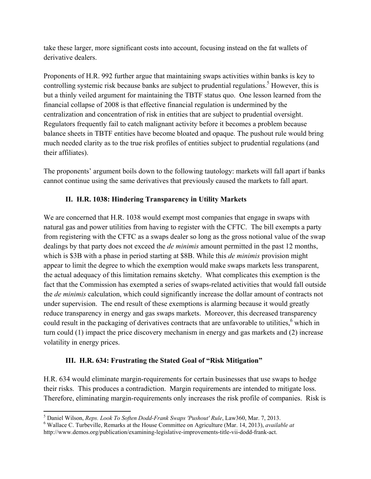take these larger, more significant costs into account, focusing instead on the fat wallets of derivative dealers.

Proponents of H.R. 992 further argue that maintaining swaps activities within banks is key to controlling systemic risk because banks are subject to prudential regulations.<sup>5</sup> However, this is but a thinly veiled argument for maintaining the TBTF status quo. One lesson learned from the financial collapse of 2008 is that effective financial regulation is undermined by the centralization and concentration of risk in entities that are subject to prudential oversight. Regulators frequently fail to catch malignant activity before it becomes a problem because balance sheets in TBTF entities have become bloated and opaque. The pushout rule would bring much needed clarity as to the true risk profiles of entities subject to prudential regulations (and their affiliates).

The proponents' argument boils down to the following tautology: markets will fall apart if banks cannot continue using the same derivatives that previously caused the markets to fall apart.

## **II. H.R. 1038: Hindering Transparency in Utility Markets**

We are concerned that H.R. 1038 would exempt most companies that engage in swaps with natural gas and power utilities from having to register with the CFTC. The bill exempts a party from registering with the CFTC as a swaps dealer so long as the gross notional value of the swap dealings by that party does not exceed the *de minimis* amount permitted in the past 12 months, which is \$3B with a phase in period starting at \$8B. While this *de minimis* provision might appear to limit the degree to which the exemption would make swaps markets less transparent, the actual adequacy of this limitation remains sketchy. What complicates this exemption is the fact that the Commission has exempted a series of swaps-related activities that would fall outside the *de minimis* calculation, which could significantly increase the dollar amount of contracts not under supervision. The end result of these exemptions is alarming because it would greatly reduce transparency in energy and gas swaps markets. Moreover, this decreased transparency could result in the packaging of derivatives contracts that are unfavorable to utilities,  $6$  which in turn could (1) impact the price discovery mechanism in energy and gas markets and (2) increase volatility in energy prices.

## **III. H.R. 634: Frustrating the Stated Goal of "Risk Mitigation"**

H.R. 634 would eliminate margin-requirements for certain businesses that use swaps to hedge their risks. This produces a contradiction. Margin requirements are intended to mitigate loss. Therefore, eliminating margin-requirements only increases the risk profile of companies. Risk is

 $\overline{\phantom{a}}$ <sup>5</sup> Daniel Wilson, *Reps. Look To Soften Dodd-Frank Swaps 'Pushout' Rule*, Law360, Mar. 7, 2013.<br><sup>6</sup> Wallace C. Turbovilla, Bemarks at the House Committee on Agriculture (Mar. 14, 2013), *guaila* 

Wallace C. Turbeville, Remarks at the House Committee on Agriculture (Mar. 14, 2013), *available at*  http://www.demos.org/publication/examining-legislative-improvements-title-vii-dodd-frank-act.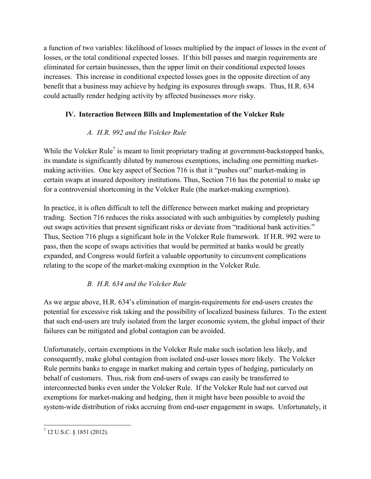a function of two variables: likelihood of losses multiplied by the impact of losses in the event of losses, or the total conditional expected losses. If this bill passes and margin requirements are eliminated for certain businesses, then the upper limit on their conditional expected losses increases. This increase in conditional expected losses goes in the opposite direction of any benefit that a business may achieve by hedging its exposures through swaps. Thus, H.R. 634 could actually render hedging activity by affected businesses *more* risky.

## **IV. Interaction Between Bills and Implementation of the Volcker Rule**

## *A. H.R. 992 and the Volcker Rule*

While the Volcker Rule<sup>7</sup> is meant to limit proprietary trading at government-backstopped banks, its mandate is significantly diluted by numerous exemptions, including one permitting marketmaking activities. One key aspect of Section 716 is that it "pushes out" market-making in certain swaps at insured depository institutions. Thus, Section 716 has the potential to make up for a controversial shortcoming in the Volcker Rule (the market-making exemption).

In practice, it is often difficult to tell the difference between market making and proprietary trading. Section 716 reduces the risks associated with such ambiguities by completely pushing out swaps activities that present significant risks or deviate from "traditional bank activities." Thus, Section 716 plugs a significant hole in the Volcker Rule framework. If H.R. 992 were to pass, then the scope of swaps activities that would be permitted at banks would be greatly expanded, and Congress would forfeit a valuable opportunity to circumvent complications relating to the scope of the market-making exemption in the Volcker Rule.

## *B. H.R. 634 and the Volcker Rule*

As we argue above, H.R. 634's elimination of margin-requirements for end-users creates the potential for excessive risk taking and the possibility of localized business failures. To the extent that such end-users are truly isolated from the larger economic system, the global impact of their failures can be mitigated and global contagion can be avoided.

Unfortunately, certain exemptions in the Volcker Rule make such isolation less likely, and consequently, make global contagion from isolated end-user losses more likely. The Volcker Rule permits banks to engage in market making and certain types of hedging, particularly on behalf of customers. Thus, risk from end-users of swaps can easily be transferred to interconnected banks even under the Volcker Rule. If the Volcker Rule had not carved out exemptions for market-making and hedging, then it might have been possible to avoid the system-wide distribution of risks accruing from end-user engagement in swaps. Unfortunately, it

 7 12 U.S.C. § 1851 (2012).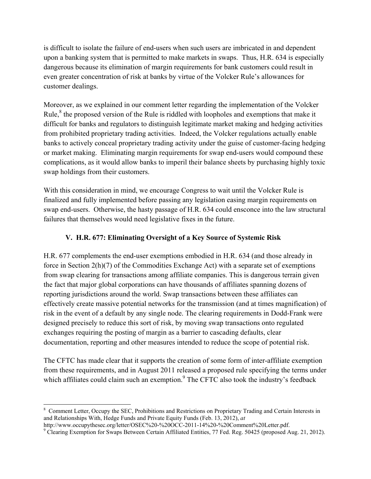is difficult to isolate the failure of end-users when such users are imbricated in and dependent upon a banking system that is permitted to make markets in swaps. Thus, H.R. 634 is especially dangerous because its elimination of margin requirements for bank customers could result in even greater concentration of risk at banks by virtue of the Volcker Rule's allowances for customer dealings.

Moreover, as we explained in our comment letter regarding the implementation of the Volcker Rule, $<sup>8</sup>$  the proposed version of the Rule is riddled with loopholes and exemptions that make it</sup> difficult for banks and regulators to distinguish legitimate market making and hedging activities from prohibited proprietary trading activities. Indeed, the Volcker regulations actually enable banks to actively conceal proprietary trading activity under the guise of customer-facing hedging or market making. Eliminating margin requirements for swap end-users would compound these complications, as it would allow banks to imperil their balance sheets by purchasing highly toxic swap holdings from their customers.

With this consideration in mind, we encourage Congress to wait until the Volcker Rule is finalized and fully implemented before passing any legislation easing margin requirements on swap end-users. Otherwise, the hasty passage of H.R. 634 could ensconce into the law structural failures that themselves would need legislative fixes in the future.

#### **V. H.R. 677: Eliminating Oversight of a Key Source of Systemic Risk**

H.R. 677 complements the end-user exemptions embodied in H.R. 634 (and those already in force in Section 2(h)(7) of the Commodities Exchange Act) with a separate set of exemptions from swap clearing for transactions among affiliate companies. This is dangerous terrain given the fact that major global corporations can have thousands of affiliates spanning dozens of reporting jurisdictions around the world. Swap transactions between these affiliates can effectively create massive potential networks for the transmission (and at times magnification) of risk in the event of a default by any single node. The clearing requirements in Dodd-Frank were designed precisely to reduce this sort of risk, by moving swap transactions onto regulated exchanges requiring the posting of margin as a barrier to cascading defaults, clear documentation, reporting and other measures intended to reduce the scope of potential risk.

The CFTC has made clear that it supports the creation of some form of inter-affiliate exemption from these requirements, and in August 2011 released a proposed rule specifying the terms under which affiliates could claim such an exemption. $9$  The CFTC also took the industry's feedback

<sup>&</sup>lt;sup>8</sup> Comment Letter, Occupy the SEC, Prohibitions and Restrictions on Proprietary Trading and Certain Interests in and Relationships With, Hedge Funds and Private Equity Funds (Feb. 13, 2012), *at*

http://www.occupythesec.org/letter/OSEC%20-%20OCC-2011-14%20-%20Comment%20Letter.pdf.

Clearing Exemption for Swaps Between Certain Affiliated Entities, 77 Fed. Reg. 50425 (proposed Aug. 21, 2012).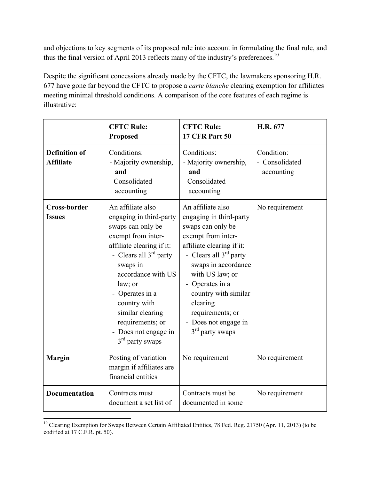and objections to key segments of its proposed rule into account in formulating the final rule, and thus the final version of April 2013 reflects many of the industry's preferences.<sup>10</sup>

Despite the significant concessions already made by the CFTC, the lawmakers sponsoring H.R. 677 have gone far beyond the CFTC to propose a *carte blanche* clearing exemption for affiliates meeting minimal threshold conditions. A comparison of the core features of each regime is illustrative:

|                                          | <b>CFTC Rule:</b><br><b>Proposed</b>                                                                                                                                                                                                                                                                                | <b>CFTC Rule:</b><br><b>17 CFR Part 50</b>                                                                                                                                                                                                                                                                         | H.R. 677                                   |
|------------------------------------------|---------------------------------------------------------------------------------------------------------------------------------------------------------------------------------------------------------------------------------------------------------------------------------------------------------------------|--------------------------------------------------------------------------------------------------------------------------------------------------------------------------------------------------------------------------------------------------------------------------------------------------------------------|--------------------------------------------|
| <b>Definition of</b><br><b>Affiliate</b> | Conditions:<br>- Majority ownership,<br>and<br>- Consolidated<br>accounting                                                                                                                                                                                                                                         | Conditions:<br>- Majority ownership,<br>and<br>- Consolidated<br>accounting                                                                                                                                                                                                                                        | Condition:<br>- Consolidated<br>accounting |
| <b>Cross-border</b><br><b>Issues</b>     | An affiliate also<br>engaging in third-party<br>swaps can only be<br>exempt from inter-<br>affiliate clearing if it:<br>- Clears all $3rd$ party<br>swaps in<br>accordance with US<br>law; or<br>Operates in a<br>country with<br>similar clearing<br>requirements; or<br>- Does not engage in<br>$3rd$ party swaps | An affiliate also<br>engaging in third-party<br>swaps can only be<br>exempt from inter-<br>affiliate clearing if it:<br>- Clears all $3rd$ party<br>swaps in accordance<br>with US law; or<br>- Operates in a<br>country with similar<br>clearing<br>requirements; or<br>- Does not engage in<br>$3rd$ party swaps | No requirement                             |
| <b>Margin</b>                            | Posting of variation<br>margin if affiliates are<br>financial entities                                                                                                                                                                                                                                              | No requirement                                                                                                                                                                                                                                                                                                     | No requirement                             |
| <b>Documentation</b>                     | Contracts must<br>document a set list of                                                                                                                                                                                                                                                                            | Contracts must be<br>documented in some                                                                                                                                                                                                                                                                            | No requirement                             |

<sup>&</sup>lt;sup>10</sup> Clearing Exemption for Swaps Between Certain Affiliated Entities, 78 Fed. Reg. 21750 (Apr. 11, 2013) (to be codified at 17 C.F.R. pt. 50).

 $\overline{a}$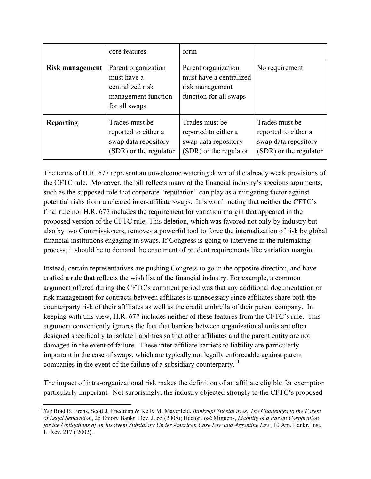|                        | core features                                                                                  | form                                                                                        |                                                                                          |
|------------------------|------------------------------------------------------------------------------------------------|---------------------------------------------------------------------------------------------|------------------------------------------------------------------------------------------|
| <b>Risk management</b> | Parent organization<br>must have a<br>centralized risk<br>management function<br>for all swaps | Parent organization<br>must have a centralized<br>risk management<br>function for all swaps | No requirement                                                                           |
| <b>Reporting</b>       | Trades must be<br>reported to either a<br>swap data repository<br>(SDR) or the regulator       | Trades must be<br>reported to either a<br>swap data repository<br>(SDR) or the regulator    | Trades must be<br>reported to either a<br>swap data repository<br>(SDR) or the regulator |

The terms of H.R. 677 represent an unwelcome watering down of the already weak provisions of the CFTC rule. Moreover, the bill reflects many of the financial industry's specious arguments, such as the supposed role that corporate "reputation" can play as a mitigating factor against potential risks from uncleared inter-affiliate swaps. It is worth noting that neither the CFTC's final rule nor H.R. 677 includes the requirement for variation margin that appeared in the proposed version of the CFTC rule. This deletion, which was favored not only by industry but also by two Commissioners, removes a powerful tool to force the internalization of risk by global financial institutions engaging in swaps. If Congress is going to intervene in the rulemaking process, it should be to demand the enactment of prudent requirements like variation margin.

Instead, certain representatives are pushing Congress to go in the opposite direction, and have crafted a rule that reflects the wish list of the financial industry. For example, a common argument offered during the CFTC's comment period was that any additional documentation or risk management for contracts between affiliates is unnecessary since affiliates share both the counterparty risk of their affiliates as well as the credit umbrella of their parent company. In keeping with this view, H.R. 677 includes neither of these features from the CFTC's rule. This argument conveniently ignores the fact that barriers between organizational units are often designed specifically to isolate liabilities so that other affiliates and the parent entity are not damaged in the event of failure. These inter-affiliate barriers to liability are particularly important in the case of swaps, which are typically not legally enforceable against parent companies in the event of the failure of a subsidiary counterparty.<sup>11</sup>

The impact of intra-organizational risk makes the definition of an affiliate eligible for exemption particularly important. Not surprisingly, the industry objected strongly to the CFTC's proposed

<sup>11</sup> *See* Brad B. Erens, Scott J. Friedman & Kelly M. Mayerfeld, *Bankrupt Subsidiaries: The Challenges to the Parent of Legal Separation*, 25 Emory Bankr. Dev. J. 65 (2008); Héctor José Miguens, *Liability of a Parent Corporation for the Obligations of an Insolvent Subsidiary Under American Case Law and Argentine Law*, 10 Am. Bankr. Inst. L. Rev. 217 ( 2002).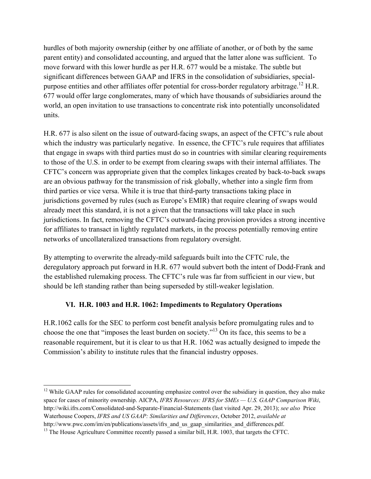hurdles of both majority ownership (either by one affiliate of another, or of both by the same parent entity) and consolidated accounting, and argued that the latter alone was sufficient. To move forward with this lower hurdle as per H.R. 677 would be a mistake. The subtle but significant differences between GAAP and IFRS in the consolidation of subsidiaries, specialpurpose entities and other affiliates offer potential for cross-border regulatory arbitrage.<sup>12</sup> H.R. 677 would offer large conglomerates, many of which have thousands of subsidiaries around the world, an open invitation to use transactions to concentrate risk into potentially unconsolidated units.

H.R. 677 is also silent on the issue of outward-facing swaps, an aspect of the CFTC's rule about which the industry was particularly negative. In essence, the CFTC's rule requires that affiliates that engage in swaps with third parties must do so in countries with similar clearing requirements to those of the U.S. in order to be exempt from clearing swaps with their internal affiliates. The CFTC's concern was appropriate given that the complex linkages created by back-to-back swaps are an obvious pathway for the transmission of risk globally, whether into a single firm from third parties or vice versa. While it is true that third-party transactions taking place in jurisdictions governed by rules (such as Europe's EMIR) that require clearing of swaps would already meet this standard, it is not a given that the transactions will take place in such jurisdictions. In fact, removing the CFTC's outward-facing provision provides a strong incentive for affiliates to transact in lightly regulated markets, in the process potentially removing entire networks of uncollateralized transactions from regulatory oversight.

By attempting to overwrite the already-mild safeguards built into the CFTC rule, the deregulatory approach put forward in H.R. 677 would subvert both the intent of Dodd-Frank and the established rulemaking process. The CFTC's rule was far from sufficient in our view, but should be left standing rather than being superseded by still-weaker legislation.

## **VI. H.R. 1003 and H.R. 1062: Impediments to Regulatory Operations**

H.R.1062 calls for the SEC to perform cost benefit analysis before promulgating rules and to choose the one that "imposes the least burden on society."13 On its face, this seems to be a reasonable requirement, but it is clear to us that H.R. 1062 was actually designed to impede the Commission's ability to institute rules that the financial industry opposes.

 $12$  While GAAP rules for consolidated accounting emphasize control over the subsidiary in question, they also make space for cases of minority ownership. AICPA, *IFRS Resources: IFRS for SMEs — U.S. GAAP Comparison Wiki*, http://wiki.ifrs.com/Consolidated-and-Separate-Financial-Statements (last visited Apr. 29, 2013); *see also* Price Waterhouse Coopers, *IFRS and US GAAP: Similarities and Differences*, October 2012, *available at*  http://www.pwc.com/im/en/publications/assets/ifrs and us gaap similarities and differences.pdf.

<sup>&</sup>lt;sup>13</sup> The House Agriculture Committee recently passed a similar bill, H.R. 1003, that targets the CFTC.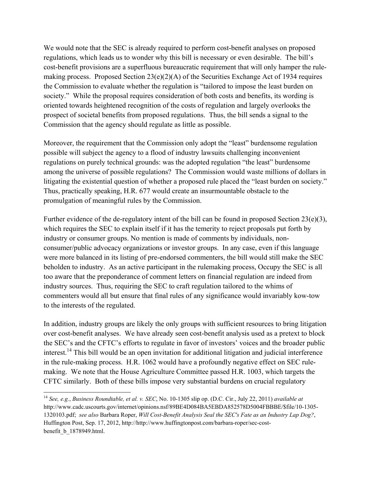We would note that the SEC is already required to perform cost-benefit analyses on proposed regulations, which leads us to wonder why this bill is necessary or even desirable. The bill's cost-benefit provisions are a superfluous bureaucratic requirement that will only hamper the rulemaking process. Proposed Section  $23(e)(2)(A)$  of the Securities Exchange Act of 1934 requires the Commission to evaluate whether the regulation is "tailored to impose the least burden on society." While the proposal requires consideration of both costs and benefits, its wording is oriented towards heightened recognition of the costs of regulation and largely overlooks the prospect of societal benefits from proposed regulations. Thus, the bill sends a signal to the Commission that the agency should regulate as little as possible.

Moreover, the requirement that the Commission only adopt the "least" burdensome regulation possible will subject the agency to a flood of industry lawsuits challenging inconvenient regulations on purely technical grounds: was the adopted regulation "the least" burdensome among the universe of possible regulations? The Commission would waste millions of dollars in litigating the existential question of whether a proposed rule placed the "least burden on society." Thus, practically speaking, H.R. 677 would create an insurmountable obstacle to the promulgation of meaningful rules by the Commission.

Further evidence of the de-regulatory intent of the bill can be found in proposed Section 23(e)(3), which requires the SEC to explain itself if it has the temerity to reject proposals put forth by industry or consumer groups. No mention is made of comments by individuals, nonconsumer/public advocacy organizations or investor groups. In any case, even if this language were more balanced in its listing of pre-endorsed commenters, the bill would still make the SEC beholden to industry. As an active participant in the rulemaking process, Occupy the SEC is all too aware that the preponderance of comment letters on financial regulation are indeed from industry sources. Thus, requiring the SEC to craft regulation tailored to the whims of commenters would all but ensure that final rules of any significance would invariably kow-tow to the interests of the regulated.

In addition, industry groups are likely the only groups with sufficient resources to bring litigation over cost-benefit analyses. We have already seen cost-benefit analysis used as a pretext to block the SEC's and the CFTC's efforts to regulate in favor of investors' voices and the broader public interest.<sup>14</sup> This bill would be an open invitation for additional litigation and judicial interference in the rule-making process. H.R. 1062 would have a profoundly negative effect on SEC rulemaking. We note that the House Agriculture Committee passed H.R. 1003, which targets the CFTC similarly. Both of these bills impose very substantial burdens on crucial regulatory

<sup>14</sup> *See, e.g.*, *Business Roundtable, et al. v. SEC*, No. 10-1305 slip op. (D.C. Cir., July 22, 2011) *available at*  http://www.cadc.uscourts.gov/internet/opinions.nsf/89BE4D084BA5EBDA852578D5004FBBBE/\$file/10-1305- 1320103.pdf; *see also* Barbara Roper, *Will Cost-Benefit Analysis Seal the SEC's Fate as an Industry Lap Dog?*, Huffington Post, Sep. 17, 2012, http://http://www.huffingtonpost.com/barbara-roper/sec-costbenefit\_b\_1878949.html.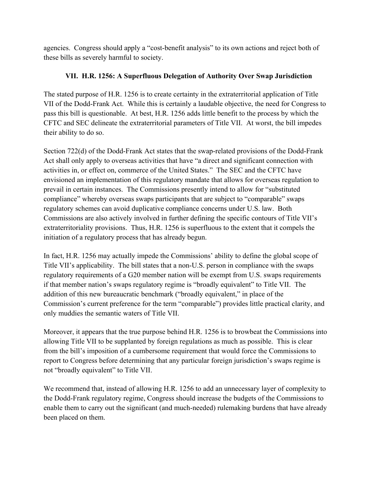agencies. Congress should apply a "cost-benefit analysis" to its own actions and reject both of these bills as severely harmful to society.

## **VII. H.R. 1256: A Superfluous Delegation of Authority Over Swap Jurisdiction**

The stated purpose of H.R. 1256 is to create certainty in the extraterritorial application of Title VII of the Dodd-Frank Act. While this is certainly a laudable objective, the need for Congress to pass this bill is questionable. At best, H.R. 1256 adds little benefit to the process by which the CFTC and SEC delineate the extraterritorial parameters of Title VII. At worst, the bill impedes their ability to do so.

Section 722(d) of the Dodd-Frank Act states that the swap-related provisions of the Dodd-Frank Act shall only apply to overseas activities that have "a direct and significant connection with activities in, or effect on, commerce of the United States." The SEC and the CFTC have envisioned an implementation of this regulatory mandate that allows for overseas regulation to prevail in certain instances. The Commissions presently intend to allow for "substituted compliance" whereby overseas swaps participants that are subject to "comparable" swaps regulatory schemes can avoid duplicative compliance concerns under U.S. law. Both Commissions are also actively involved in further defining the specific contours of Title VII's extraterritoriality provisions. Thus, H.R. 1256 is superfluous to the extent that it compels the initiation of a regulatory process that has already begun.

In fact, H.R. 1256 may actually impede the Commissions' ability to define the global scope of Title VII's applicability. The bill states that a non-U.S. person in compliance with the swaps regulatory requirements of a G20 member nation will be exempt from U.S. swaps requirements if that member nation's swaps regulatory regime is "broadly equivalent" to Title VII. The addition of this new bureaucratic benchmark ("broadly equivalent," in place of the Commission's current preference for the term "comparable") provides little practical clarity, and only muddies the semantic waters of Title VII.

Moreover, it appears that the true purpose behind H.R. 1256 is to browbeat the Commissions into allowing Title VII to be supplanted by foreign regulations as much as possible. This is clear from the bill's imposition of a cumbersome requirement that would force the Commissions to report to Congress before determining that any particular foreign jurisdiction's swaps regime is not "broadly equivalent" to Title VII.

We recommend that, instead of allowing H.R. 1256 to add an unnecessary layer of complexity to the Dodd-Frank regulatory regime, Congress should increase the budgets of the Commissions to enable them to carry out the significant (and much-needed) rulemaking burdens that have already been placed on them.